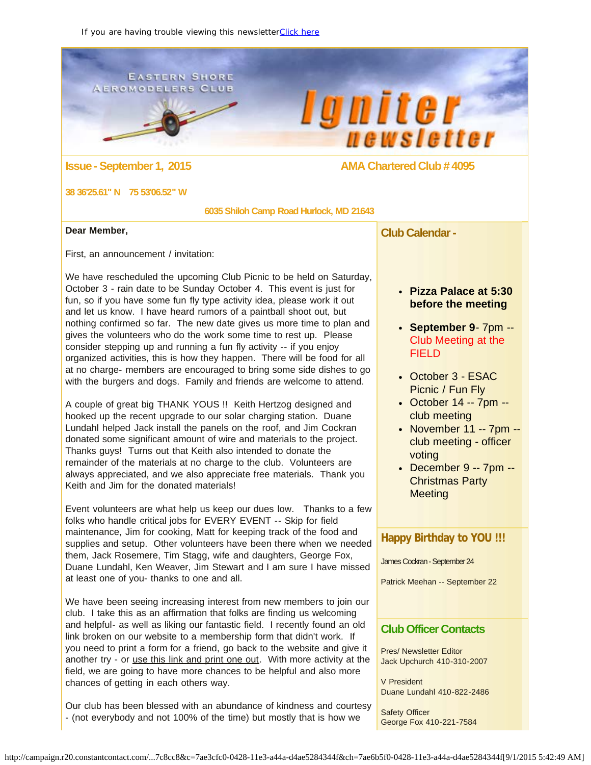### <span id="page-0-0"></span>**EASTERN SHORE AEROMODELERS CLUB**

 $\bullet$ 



# **Issue - September 1, 2015 AMA Chartered Club # 4095**

### **38 36'25.61" N 75 53'06.52" W**

 **6035 Shiloh Camp Road Hurlock, MD 21643**

### **Dear Member,**

First, an announcement / invitation:

We have rescheduled the upcoming Club Picnic to be held on Saturday, October 3 - rain date to be Sunday October 4. This event is just for fun, so if you have some fun fly type activity idea, please work it out and let us know. I have heard rumors of a paintball shoot out, but nothing confirmed so far. The new date gives us more time to plan and gives the volunteers who do the work some time to rest up. Please consider stepping up and running a fun fly activity -- if you enjoy organized activities, this is how they happen. There will be food for all at no charge- members are encouraged to bring some side dishes to go with the burgers and dogs. Family and friends are welcome to attend.

A couple of great big THANK YOUS !! Keith Hertzog designed and hooked up the recent upgrade to our solar charging station. Duane Lundahl helped Jack install the panels on the roof, and Jim Cockran donated some significant amount of wire and materials to the project. Thanks guys! Turns out that Keith also intended to donate the remainder of the materials at no charge to the club. Volunteers are always appreciated, and we also appreciate free materials. Thank you Keith and Jim for the donated materials!

Event volunteers are what help us keep our dues low. Thanks to a few folks who handle critical jobs for EVERY EVENT -- Skip for field maintenance, Jim for cooking, Matt for keeping track of the food and supplies and setup. Other volunteers have been there when we needed them, Jack Rosemere, Tim Stagg, wife and daughters, George Fox, Duane Lundahl, Ken Weaver, Jim Stewart and I am sure I have missed at least one of you- thanks to one and all.

We have been seeing increasing interest from new members to join our club. I take this as an affirmation that folks are finding us welcoming and helpful- as well as liking our fantastic field. I recently found an old link broken on our website to a membership form that didn't work. If you need to print a form for a friend, go back to the website and give it another try - or [use this link and print one out](http://r20.rs6.net/tn.jsp?f=001vRlpBv3NnUWgqMp6tDAJwCcX9wjqI1L8DfzFfQ5Y-nXiUKeRAlEfZj466MyqigoGKP8N0qt2AivJt56CaZUWDZMHv7kMBZCmUAGCCWUeLcyGvg08V2OIkKg9ZxZ0UT7sIga9pODwMEeYWMCBy4zZhxVjFjsfIdLxHLCihUiSnVkuqnJsU9UylpM92p7ZCy8HvoJCNJ4RnVS-pdU0D8Q85QVlvqL8w2-OIkhNhXGFxZhMlhROb6Zl7A==&c=&ch=). With more activity at the field, we are going to have more chances to be helpful and also more chances of getting in each others way.

Our club has been blessed with an abundance of kindness and courtesy - (not everybody and not 100% of the time) but mostly that is how we

**Club Calendar -**

# **Pizza Palace at 5:30 before the meeting**

- **September 9** 7pm -- Club Meeting at the FIELD
- October 3 ESAC Picnic / Fun Fly
- October 14 -- 7pm club meeting
- November 11 -- 7pm -club meeting - officer voting
- December 9 -- 7pm -- Christmas Party **Meeting**

## **Happy Birthday to YOU !!!**

James Cockran - September 24

Patrick Meehan -- September 22

# **Club Officer Contacts**

Pres/ Newsletter Editor Jack Upchurch 410-310-2007

V President Duane Lundahl 410-822-2486

Safety Officer George Fox 410-221-7584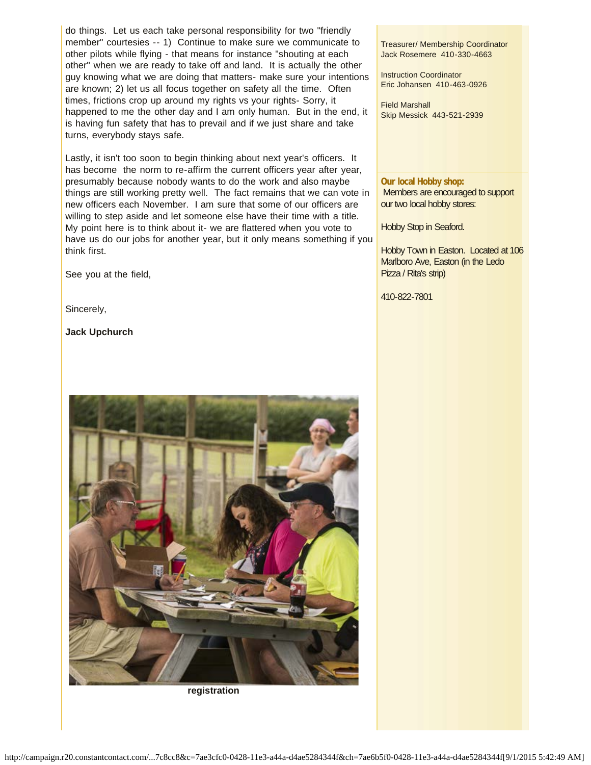do things. Let us each take personal responsibility for two "friendly member" courtesies -- 1) Continue to make sure we communicate to other pilots while flying - that means for instance "shouting at each other" when we are ready to take off and land. It is actually the other guy knowing what we are doing that matters- make sure your intentions are known; 2) let us all focus together on safety all the time. Often times, frictions crop up around my rights vs your rights- Sorry, it happened to me the other day and I am only human. But in the end, it is having fun safety that has to prevail and if we just share and take turns, everybody stays safe.

Lastly, it isn't too soon to begin thinking about next year's officers. It has become the norm to re-affirm the current officers year after year, presumably because nobody wants to do the work and also maybe things are still working pretty well. The fact remains that we can vote in new officers each November. I am sure that some of our officers are willing to step aside and let someone else have their time with a title. My point here is to think about it- we are flattered when you vote to have us do our jobs for another year, but it only means something if you think first.

See you at the field,

Sincerely,

**Jack Upchurch**

**registration**

### Treasurer/ Membership Coordinator Jack Rosemere 410-330-4663

Instruction Coordinator Eric Johansen 410-463-0926

Field Marshall Skip Messick 443-521-2939

### **Our local Hobby shop:**

Members are encouraged to support our two local hobby stores:

Hobby Stop in Seaford.

Hobby Town in Easton. Located at 106 Marlboro Ave, Easton (in the Ledo Pizza / Rita's strip)

410-822-7801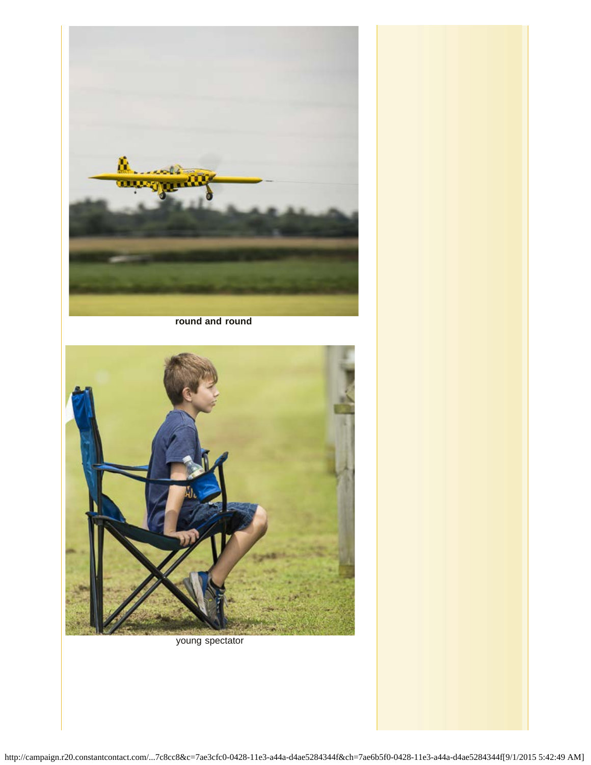

**round and round**



young spectator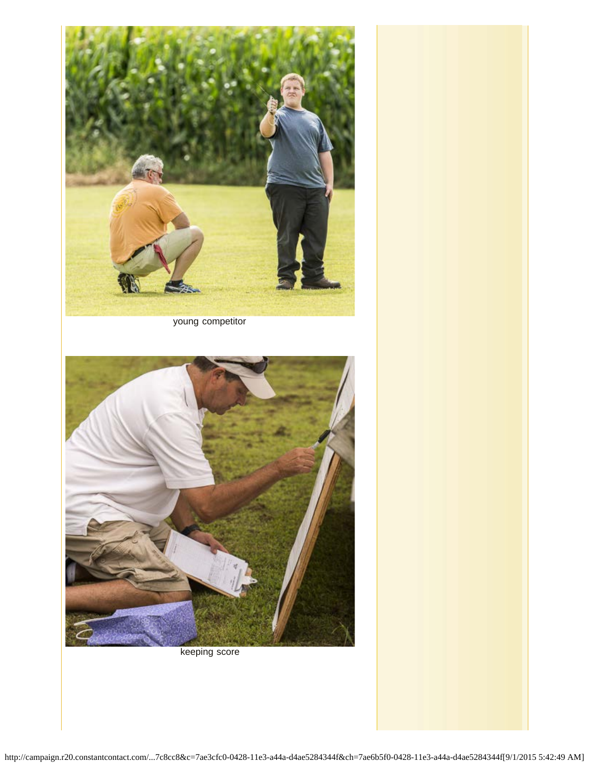

young competitor



keeping score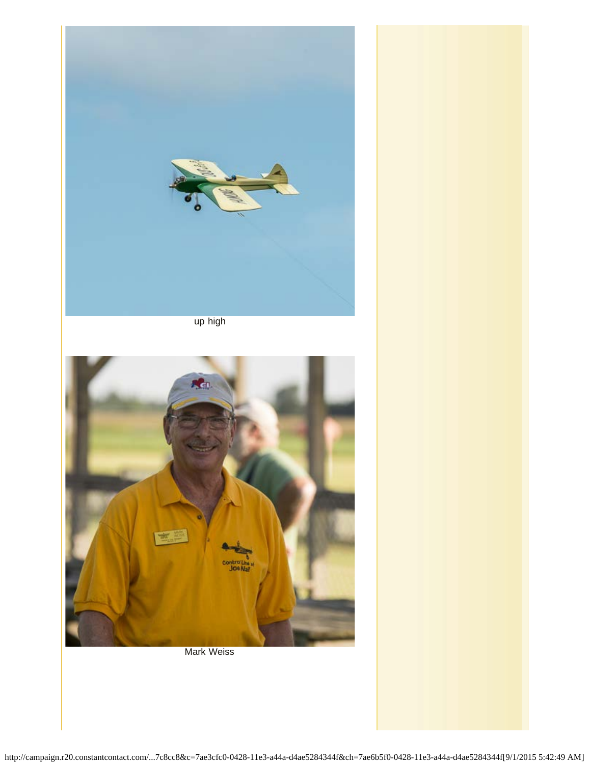

up high



Mark Weiss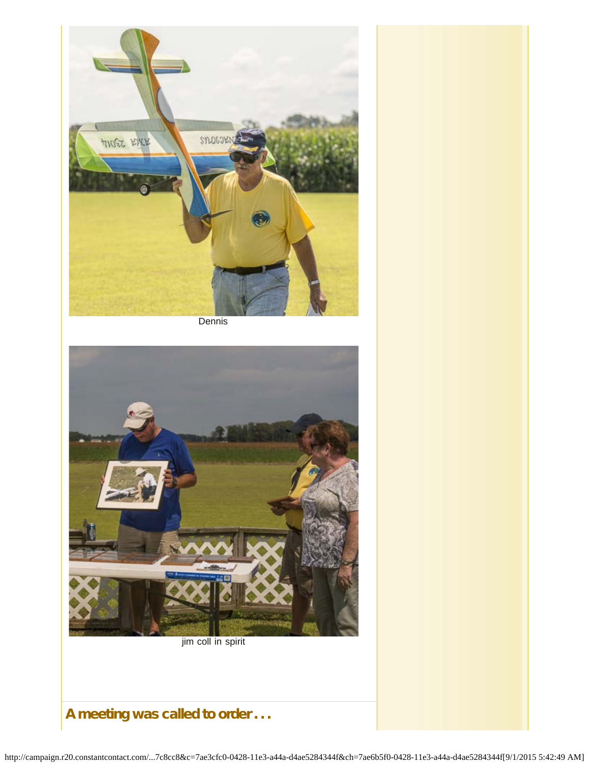

**Dennis** 



jim coll in spirit

# A meeting was called to order . . .